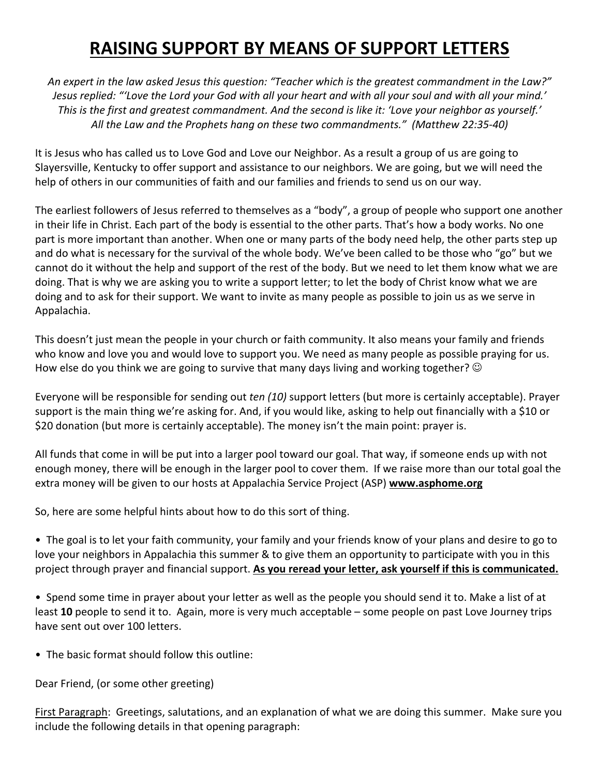## **RAISING SUPPORT BY MEANS OF SUPPORT LETTERS**

*An expert in the law asked Jesus this question: "Teacher which is the greatest commandment in the Law?" Jesus replied: "'Love the Lord your God with all your heart and with all your soul and with all your mind.' This is the first and greatest commandment. And the second is like it: 'Love your neighbor as yourself.' All the Law and the Prophets hang on these two commandments." (Matthew 22:35-40)*

It is Jesus who has called us to Love God and Love our Neighbor. As a result a group of us are going to Slayersville, Kentucky to offer support and assistance to our neighbors. We are going, but we will need the help of others in our communities of faith and our families and friends to send us on our way.

The earliest followers of Jesus referred to themselves as a "body", a group of people who support one another in their life in Christ. Each part of the body is essential to the other parts. That's how a body works. No one part is more important than another. When one or many parts of the body need help, the other parts step up and do what is necessary for the survival of the whole body. We've been called to be those who "go" but we cannot do it without the help and support of the rest of the body. But we need to let them know what we are doing. That is why we are asking you to write a support letter; to let the body of Christ know what we are doing and to ask for their support. We want to invite as many people as possible to join us as we serve in Appalachia.

This doesn't just mean the people in your church or faith community. It also means your family and friends who know and love you and would love to support you. We need as many people as possible praying for us. How else do you think we are going to survive that many days living and working together?  $\odot$ 

Everyone will be responsible for sending out *ten (10)* support letters (but more is certainly acceptable). Prayer support is the main thing we're asking for. And, if you would like, asking to help out financially with a \$10 or \$20 donation (but more is certainly acceptable). The money isn't the main point: prayer is.

All funds that come in will be put into a larger pool toward our goal. That way, if someone ends up with not enough money, there will be enough in the larger pool to cover them. If we raise more than our total goal the extra money will be given to our hosts at Appalachia Service Project (ASP) **www.asphome.org**

So, here are some helpful hints about how to do this sort of thing.

• The goal is to let your faith community, your family and your friends know of your plans and desire to go to love your neighbors in Appalachia this summer & to give them an opportunity to participate with you in this project through prayer and financial support. **As you reread your letter, ask yourself if this is communicated.**

• Spend some time in prayer about your letter as well as the people you should send it to. Make a list of at least **10** people to send it to. Again, more is very much acceptable – some people on past Love Journey trips have sent out over 100 letters.

• The basic format should follow this outline:

Dear Friend, (or some other greeting)

First Paragraph: Greetings, salutations, and an explanation of what we are doing this summer. Make sure you include the following details in that opening paragraph: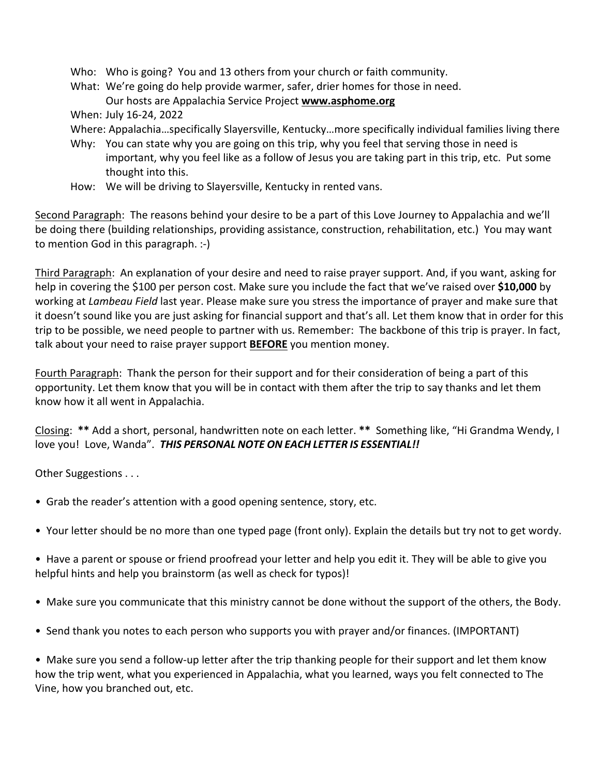- Who: Who is going? You and 13 others from your church or faith community.
- What: We're going do help provide warmer, safer, drier homes for those in need. Our hosts are Appalachia Service Project **www.asphome.org**

When: July 16-24, 2022

- Where: Appalachia…specifically Slayersville, Kentucky…more specifically individual families living there
- Why: You can state why you are going on this trip, why you feel that serving those in need is important, why you feel like as a follow of Jesus you are taking part in this trip, etc. Put some thought into this.
- How: We will be driving to Slayersville, Kentucky in rented vans.

Second Paragraph: The reasons behind your desire to be a part of this Love Journey to Appalachia and we'll be doing there (building relationships, providing assistance, construction, rehabilitation, etc.) You may want to mention God in this paragraph. :-)

Third Paragraph: An explanation of your desire and need to raise prayer support. And, if you want, asking for help in covering the \$100 per person cost. Make sure you include the fact that we've raised over **\$10,000** by working at *Lambeau Field* last year. Please make sure you stress the importance of prayer and make sure that it doesn't sound like you are just asking for financial support and that's all. Let them know that in order for this trip to be possible, we need people to partner with us. Remember: The backbone of this trip is prayer. In fact, talk about your need to raise prayer support **BEFORE** you mention money.

Fourth Paragraph: Thank the person for their support and for their consideration of being a part of this opportunity. Let them know that you will be in contact with them after the trip to say thanks and let them know how it all went in Appalachia.

Closing: **\*\*** Add a short, personal, handwritten note on each letter. **\*\*** Something like, "Hi Grandma Wendy, I love you! Love, Wanda". *THIS PERSONAL NOTE ON EACH LETTER IS ESSENTIAL!!*

Other Suggestions . . .

- Grab the reader's attention with a good opening sentence, story, etc.
- Your letter should be no more than one typed page (front only). Explain the details but try not to get wordy.
- Have a parent or spouse or friend proofread your letter and help you edit it. They will be able to give you helpful hints and help you brainstorm (as well as check for typos)!
- Make sure you communicate that this ministry cannot be done without the support of the others, the Body.
- Send thank you notes to each person who supports you with prayer and/or finances. (IMPORTANT)

• Make sure you send a follow-up letter after the trip thanking people for their support and let them know how the trip went, what you experienced in Appalachia, what you learned, ways you felt connected to The Vine, how you branched out, etc.